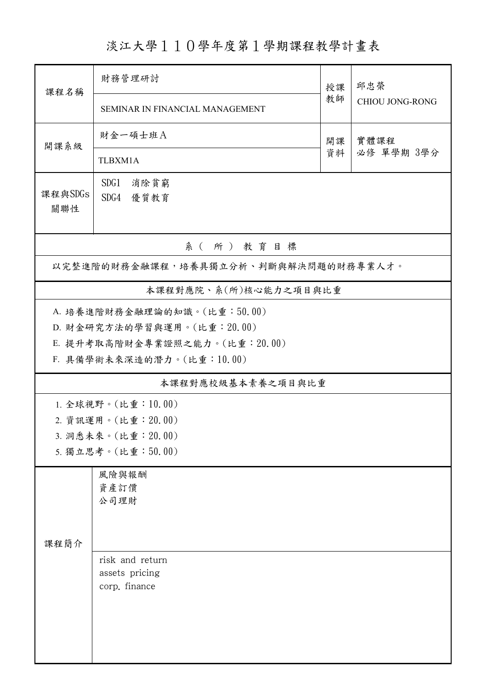淡江大學110學年度第1學期課程教學計畫表

| 課程名稱                                 | 財務管理研討                          | 授課<br>教師 | 邱忠榮<br><b>CHIOU JONG-RONG</b> |  |  |  |  |  |  |
|--------------------------------------|---------------------------------|----------|-------------------------------|--|--|--|--|--|--|
|                                      | SEMINAR IN FINANCIAL MANAGEMENT |          |                               |  |  |  |  |  |  |
| 開課系級                                 | 財金一碩士班A                         | 開課<br>資料 | 實體課程<br>必修 單學期 3學分            |  |  |  |  |  |  |
|                                      | TLBXM1A                         |          |                               |  |  |  |  |  |  |
| 課程與SDGs<br>關聯性                       | SDG1<br>消除貧窮<br>SDG4 優質教育       |          |                               |  |  |  |  |  |  |
| 系(所)教育目標                             |                                 |          |                               |  |  |  |  |  |  |
| 以完整進階的財務金融課程,培養具獨立分析、判斷與解決問題的財務專業人才。 |                                 |          |                               |  |  |  |  |  |  |
| 本課程對應院、系(所)核心能力之項目與比重                |                                 |          |                               |  |  |  |  |  |  |
| A. 培養進階財務金融理論的知識。(比重:50.00)          |                                 |          |                               |  |  |  |  |  |  |
|                                      | D. 財金研究方法的學習與運用。(比重: 20.00)     |          |                               |  |  |  |  |  |  |
|                                      | E. 提升考取高階財金專業證照之能力。(比重: 20.00)  |          |                               |  |  |  |  |  |  |
|                                      | F. 具備學術未來深造的潛力。(比重:10.00)       |          |                               |  |  |  |  |  |  |
|                                      | 本課程對應校級基本素養之項目與比重               |          |                               |  |  |  |  |  |  |
|                                      | 1. 全球視野。(比重:10.00)              |          |                               |  |  |  |  |  |  |
|                                      | 2. 資訊運用。(比重: 20.00)             |          |                               |  |  |  |  |  |  |
| 3. 洞悉未來。(比重: 20.00)                  |                                 |          |                               |  |  |  |  |  |  |
|                                      | 5. 獨立思考。(比重:50.00)              |          |                               |  |  |  |  |  |  |
|                                      | 風險與報酬                           |          |                               |  |  |  |  |  |  |
|                                      | 資產訂價                            |          |                               |  |  |  |  |  |  |
|                                      | 公司理財                            |          |                               |  |  |  |  |  |  |
|                                      |                                 |          |                               |  |  |  |  |  |  |
| 課程簡介                                 |                                 |          |                               |  |  |  |  |  |  |
|                                      | risk and return                 |          |                               |  |  |  |  |  |  |
|                                      | assets pricing                  |          |                               |  |  |  |  |  |  |
|                                      | corp. finance                   |          |                               |  |  |  |  |  |  |
|                                      |                                 |          |                               |  |  |  |  |  |  |
|                                      |                                 |          |                               |  |  |  |  |  |  |
|                                      |                                 |          |                               |  |  |  |  |  |  |
|                                      |                                 |          |                               |  |  |  |  |  |  |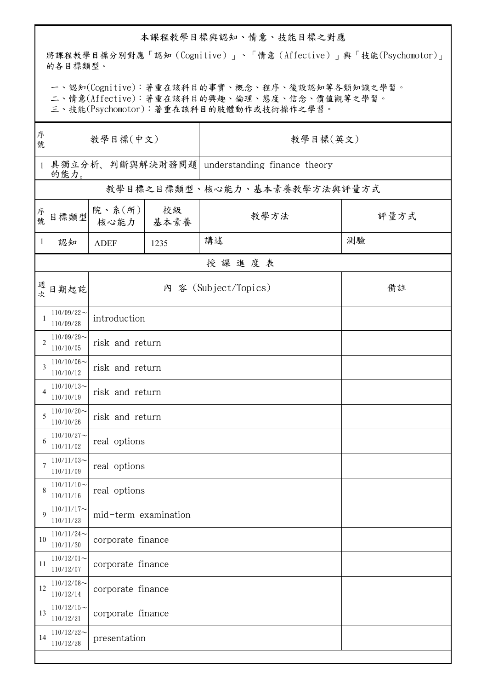## 本課程教學目標與認知、情意、技能目標之對應

將課程教學目標分別對應「認知(Cognitive)」、「情意(Affective)」與「技能(Psychomotor)」 的各目標類型。

一、認知(Cognitive):著重在該科目的事實、概念、程序、後設認知等各類知識之學習。

二、情意(Affective):著重在該科目的興趣、倫理、態度、信念、價值觀等之學習。

三、技能(Psychomotor):著重在該科目的肢體動作或技術操作之學習。

| 序<br>號       | 教學目標(中文)                     |                               |      | 教學目標(英文)                                     |      |  |  |  |  |
|--------------|------------------------------|-------------------------------|------|----------------------------------------------|------|--|--|--|--|
| $\mathbf{1}$ | <b>的能力。</b>                  |                               |      | 具獨立分析、判斷與解決財務問題 understanding finance theory |      |  |  |  |  |
|              | 教學目標之目標類型、核心能力、基本素養教學方法與評量方式 |                               |      |                                              |      |  |  |  |  |
| 序號           | 目標類型                         | 院、系 $(\kappa)$<br>核心能力   基本素養 | 校級   | 教學方法                                         | 評量方式 |  |  |  |  |
| $\mathbf{1}$ | 認知                           | <b>ADEF</b>                   | 1235 | 講述                                           | 測驗   |  |  |  |  |
|              | 授課進度表                        |                               |      |                                              |      |  |  |  |  |
| 週次           | 日期起訖                         |                               |      | 內 容 (Subject/Topics)                         | 備註   |  |  |  |  |
| 1            | $110/09/22$ ~<br>110/09/28   | introduction                  |      |                                              |      |  |  |  |  |
| 2            | $110/09/29$ ~<br>110/10/05   | risk and return               |      |                                              |      |  |  |  |  |
| 3            | $110/10/06$ ~<br>110/10/12   | risk and return               |      |                                              |      |  |  |  |  |
| 4            | $110/10/13$ ~<br>110/10/19   | risk and return               |      |                                              |      |  |  |  |  |
| 5            | $110/10/20$ ~<br>110/10/26   | risk and return               |      |                                              |      |  |  |  |  |
| 6            | $110/10/27$ ~<br>110/11/02   | real options                  |      |                                              |      |  |  |  |  |
| 7            | $110/11/03$ ~<br>110/11/09   | real options                  |      |                                              |      |  |  |  |  |
| 8            | $110/11/10$ ~<br>110/11/16   | real options                  |      |                                              |      |  |  |  |  |
| 9            | $110/11/17$ ~<br>110/11/23   | mid-term examination          |      |                                              |      |  |  |  |  |
| 10           | $110/11/24$ ~<br>110/11/30   | corporate finance             |      |                                              |      |  |  |  |  |
| 11           | $110/12/01$ ~<br>110/12/07   | corporate finance             |      |                                              |      |  |  |  |  |
| 12           | $110/12/08$ ~<br>110/12/14   | corporate finance             |      |                                              |      |  |  |  |  |
| 13           | $110/12/15$ ~<br>110/12/21   | corporate finance             |      |                                              |      |  |  |  |  |
| 14           | $110/12/22$ ~<br>110/12/28   | presentation                  |      |                                              |      |  |  |  |  |
|              |                              |                               |      |                                              |      |  |  |  |  |